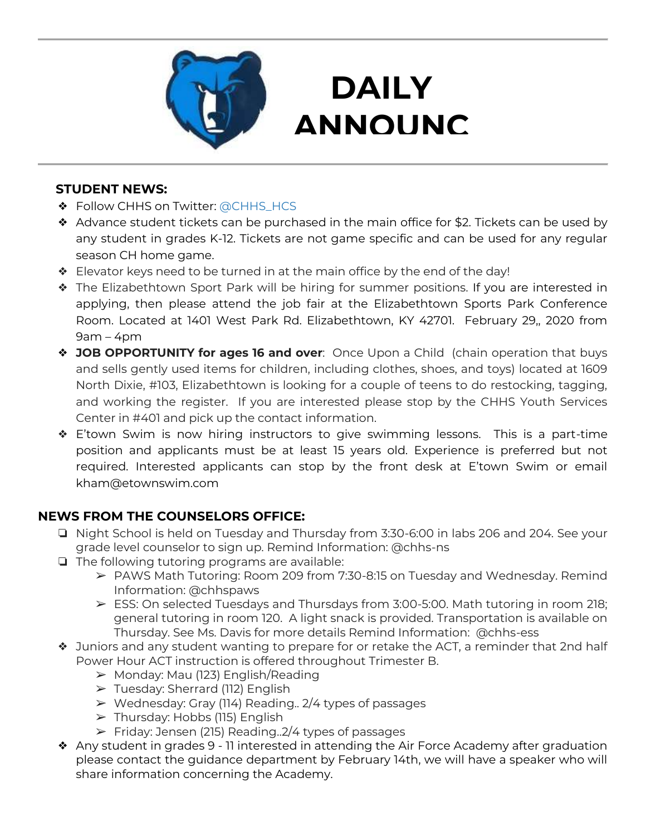

# **DAILY ANNOUNC**

**EMENTS** 

### **STUDENT NEWS:**

- ❖ Follow CHHS on Twitter: [@CHHS\\_HCS](https://twitter.com/CHHS_HCS)
- ❖ Advance student tickets can be purchased in the main office for \$2. Tickets can be used by any student in grades K-12. Tickets are not game specific and can be used for any regular season CH home game.
- ❖ Elevator keys need to be turned in at the main office by the end of the day!
- ❖ The Elizabethtown Sport Park will be hiring for summer positions. If you are interested in applying, then please attend the job fair at the Elizabethtown Sports Park Conference Room. Located at 1401 West Park Rd. Elizabethtown, KY 42701. February 29,, 2020 from  $9am - 4pm$
- ❖ **JOB OPPORTUNITY for ages 16 and over**: Once Upon a Child (chain operation that buys and sells gently used items for children, including clothes, shoes, and toys) located at 1609 North Dixie, #103, Elizabethtown is looking for a couple of teens to do restocking, tagging, and working the register. If you are interested please stop by the CHHS Youth Services Center in #401 and pick up the contact information.
- ❖ E'town Swim is now hiring instructors to give swimming lessons. This is a part-time position and applicants must be at least 15 years old. Experience is preferred but not required. Interested applicants can stop by the front desk at E'town Swim or email kham@etownswim.com

## **NEWS FROM THE COUNSELORS OFFICE:**

- ❏ Night School is held on Tuesday and Thursday from 3:30-6:00 in labs 206 and 204. See your grade level counselor to sign up. Remind Information: @chhs-ns
- ❏ The following tutoring programs are available:
	- ➢ PAWS Math Tutoring: Room 209 from 7:30-8:15 on Tuesday and Wednesday. Remind Information: @chhspaws
	- $\triangleright$  ESS: On selected Tuesdays and Thursdays from 3:00-5:00. Math tutoring in room 218; general tutoring in room 120. A light snack is provided. Transportation is available on Thursday. See Ms. Davis for more details Remind Information: @chhs-ess
- ❖ Juniors and any student wanting to prepare for or retake the ACT, a reminder that 2nd half Power Hour ACT instruction is offered throughout Trimester B.
	- $\triangleright$  Monday: Mau (123) English/Reading
	- $\triangleright$  Tuesday: Sherrard (112) English
	- ➢ Wednesday: Gray (114) Reading.. 2/4 types of passages
	- $\triangleright$  Thursday: Hobbs (115) English
	- ➢ Friday: Jensen (215) Reading..2/4 types of passages
- ❖ Any student in grades 9 11 interested in attending the Air Force Academy after graduation please contact the guidance department by February 14th, we will have a speaker who will share information concerning the Academy.